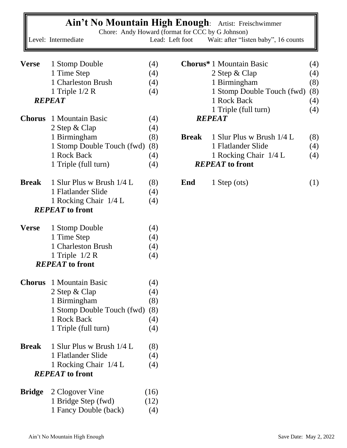|               | Ain't No Mountain High Enough: Artist: Freischwimmer                    |                 |              |                                      |            |
|---------------|-------------------------------------------------------------------------|-----------------|--------------|--------------------------------------|------------|
|               | Chore: Andy Howard (format for CCC by G Johnson)<br>Level: Intermediate | Lead: Left foot |              | Wait: after "listen baby", 16 counts |            |
| <b>Verse</b>  | 1 Stomp Double                                                          | (4)             |              | <b>Chorus*</b> 1 Mountain Basic      | (4)        |
|               | 1 Time Step                                                             | (4)             |              | 2 Step & Clap                        | (4)        |
|               | 1 Charleston Brush                                                      | (4)             |              | 1 Birmingham                         | (8)        |
|               | 1 Triple $1/2$ R                                                        | (4)             |              | 1 Stomp Double Touch (fwd)           | (8)        |
| <b>REPEAT</b> |                                                                         |                 |              | 1 Rock Back<br>1 Triple (full turn)  | (4)<br>(4) |
| <b>Chorus</b> | 1 Mountain Basic                                                        | (4)             |              | <b>REPEAT</b>                        |            |
|               | 2 Step & Clap                                                           | (4)             |              |                                      |            |
|               | 1 Birmingham                                                            | (8)             | <b>Break</b> | 1 Slur Plus w Brush 1/4 L            | (8)        |
|               | 1 Stomp Double Touch (fwd)                                              | (8)             |              | 1 Flatlander Slide                   | (4)        |
|               | 1 Rock Back                                                             | (4)             |              | 1 Rocking Chair 1/4 L                | (4)        |
|               | 1 Triple (full turn)                                                    | (4)             |              | <b>REPEAT</b> to front               |            |
| <b>Break</b>  | 1 Slur Plus w Brush 1/4 L                                               | (8)             | End          | 1 Step (ots)                         | (1)        |
|               | 1 Flatlander Slide                                                      | (4)             |              |                                      |            |
|               | 1 Rocking Chair 1/4 L                                                   | (4)             |              |                                      |            |
|               | <b>REPEAT</b> to front                                                  |                 |              |                                      |            |
| <b>Verse</b>  | 1 Stomp Double                                                          | (4)             |              |                                      |            |
|               | 1 Time Step                                                             | (4)             |              |                                      |            |
|               | 1 Charleston Brush                                                      | (4)             |              |                                      |            |
|               | 1 Triple $1/2$ R                                                        | (4)             |              |                                      |            |
|               | <b>REPEAT</b> to front                                                  |                 |              |                                      |            |
|               | <b>Chorus</b> 1 Mountain Basic                                          | (4)             |              |                                      |            |
|               | 2 Step & Clap                                                           | (4)             |              |                                      |            |
|               | 1 Birmingham                                                            | (8)             |              |                                      |            |
|               | 1 Stomp Double Touch (fwd)                                              | (8)             |              |                                      |            |
|               | 1 Rock Back                                                             | (4)             |              |                                      |            |
|               | 1 Triple (full turn)                                                    | (4)             |              |                                      |            |
| <b>Break</b>  | 1 Slur Plus w Brush 1/4 L                                               | (8)             |              |                                      |            |
|               | 1 Flatlander Slide                                                      | (4)             |              |                                      |            |
|               | 1 Rocking Chair 1/4 L<br><b>REPEAT</b> to front                         | (4)             |              |                                      |            |
|               |                                                                         |                 |              |                                      |            |
| <b>Bridge</b> | 2 Clogover Vine                                                         | (16)            |              |                                      |            |
|               | 1 Bridge Step (fwd)                                                     | (12)            |              |                                      |            |
|               | 1 Fancy Double (back)                                                   | (4)             |              |                                      |            |

r.

╗